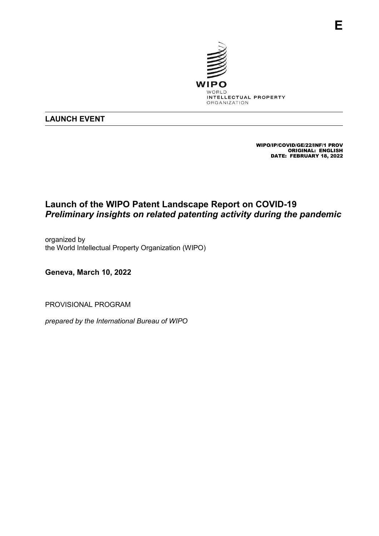

## **LAUNCH EVENT**

WIPO/IP/COVID/GE/22/INF/1 PROV ORIGINAL: ENGLISH DATE: FEBRUARY 18, 2022

**E**

## **Launch of the WIPO Patent Landscape Report on COVID-19** *Preliminary insights on related patenting activity during the pandemic*

organized by the World Intellectual Property Organization (WIPO)

**Geneva, March 10, 2022**

PROVISIONAL PROGRAM

*prepared by the International Bureau of WIPO*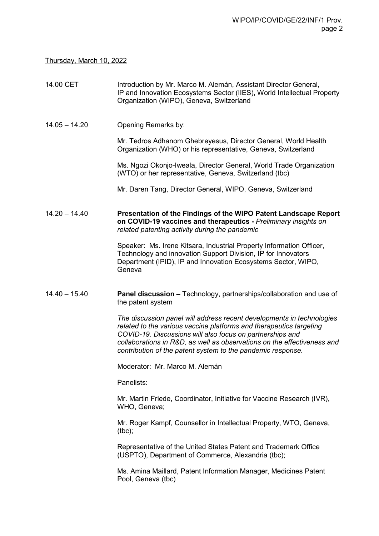Thursday, March 10, 2022

| 14.00 CET       | Introduction by Mr. Marco M. Alemán, Assistant Director General,<br>IP and Innovation Ecosystems Sector (IIES), World Intellectual Property<br>Organization (WIPO), Geneva, Switzerland                                                                                                                                                             |
|-----------------|-----------------------------------------------------------------------------------------------------------------------------------------------------------------------------------------------------------------------------------------------------------------------------------------------------------------------------------------------------|
| $14.05 - 14.20$ | Opening Remarks by:                                                                                                                                                                                                                                                                                                                                 |
|                 | Mr. Tedros Adhanom Ghebreyesus, Director General, World Health<br>Organization (WHO) or his representative, Geneva, Switzerland                                                                                                                                                                                                                     |
|                 | Ms. Ngozi Okonjo-Iweala, Director General, World Trade Organization<br>(WTO) or her representative, Geneva, Switzerland (tbc)                                                                                                                                                                                                                       |
|                 | Mr. Daren Tang, Director General, WIPO, Geneva, Switzerland                                                                                                                                                                                                                                                                                         |
| $14.20 - 14.40$ | Presentation of the Findings of the WIPO Patent Landscape Report<br>on COVID-19 vaccines and therapeutics - Preliminary insights on<br>related patenting activity during the pandemic                                                                                                                                                               |
|                 | Speaker: Ms. Irene Kitsara, Industrial Property Information Officer,<br>Technology and innovation Support Division, IP for Innovators<br>Department (IPID), IP and Innovation Ecosystems Sector, WIPO,<br>Geneva                                                                                                                                    |
| $14.40 - 15.40$ | <b>Panel discussion - Technology, partnerships/collaboration and use of</b><br>the patent system                                                                                                                                                                                                                                                    |
|                 | The discussion panel will address recent developments in technologies<br>related to the various vaccine platforms and therapeutics targeting<br>COVID-19. Discussions will also focus on partnerships and<br>collaborations in R&D, as well as observations on the effectiveness and<br>contribution of the patent system to the pandemic response. |
|                 | Moderator: Mr. Marco M. Alemán                                                                                                                                                                                                                                                                                                                      |
|                 | Panelists:                                                                                                                                                                                                                                                                                                                                          |
|                 | Mr. Martin Friede, Coordinator, Initiative for Vaccine Research (IVR),<br>WHO, Geneva;                                                                                                                                                                                                                                                              |
|                 | Mr. Roger Kampf, Counsellor in Intellectual Property, WTO, Geneva,<br>$(tbc)$ ;                                                                                                                                                                                                                                                                     |
|                 | Representative of the United States Patent and Trademark Office<br>(USPTO), Department of Commerce, Alexandria (tbc);                                                                                                                                                                                                                               |
|                 | Ms. Amina Maillard, Patent Information Manager, Medicines Patent<br>Pool, Geneva (tbc)                                                                                                                                                                                                                                                              |
|                 |                                                                                                                                                                                                                                                                                                                                                     |